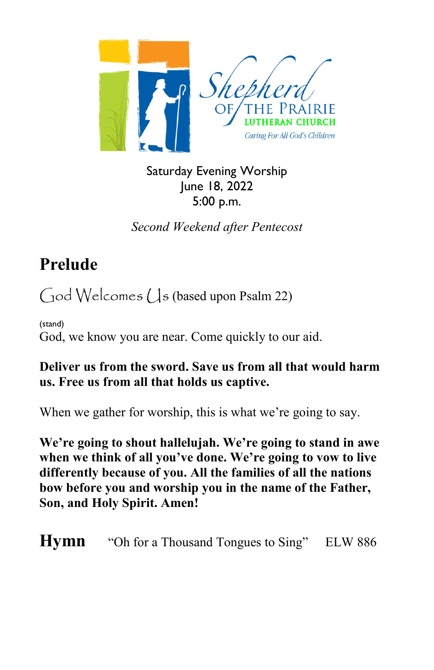

Saturday Evening Worship June 18, 2022 5:00 p.m.

*Second Weekend after Pentecost*

# **Prelude**

 $\bigcirc$  Od Welcomes ( $\bigcup$ s (based upon Psalm 22)

(stand) God, we know you are near. Come quickly to our aid.

#### **Deliver us from the sword. Save us from all that would harm us. Free us from all that holds us captive.**

When we gather for worship, this is what we're going to say.

**We're going to shout hallelujah. We're going to stand in awe when we think of all you've done. We're going to vow to live differently because of you. All the families of all the nations bow before you and worship you in the name of the Father, Son, and Holy Spirit. Amen!**

**Hymn** "Oh for a Thousand Tongues to Sing" ELW 886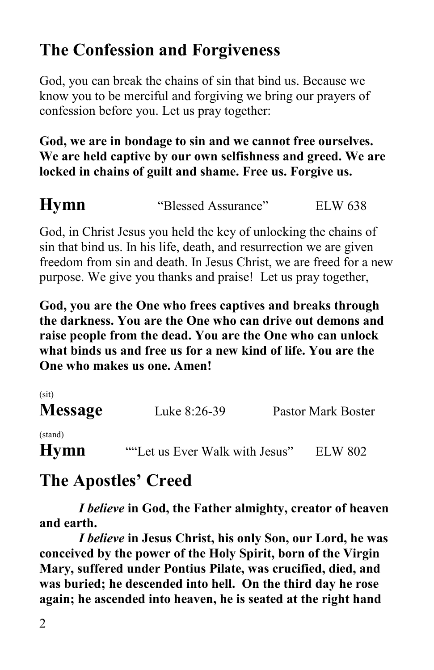# **The Confession and Forgiveness**

God, you can break the chains of sin that bind us. Because we know you to be merciful and forgiving we bring our prayers of confession before you. Let us pray together:

#### **God, we are in bondage to sin and we cannot free ourselves. We are held captive by our own selfishness and greed. We are locked in chains of guilt and shame. Free us. Forgive us.**

**Hymn** 
"Blessed Assurance" ELW 638

God, in Christ Jesus you held the key of unlocking the chains of sin that bind us. In his life, death, and resurrection we are given freedom from sin and death. In Jesus Christ, we are freed for a new purpose. We give you thanks and praise! Let us pray together,

**God, you are the One who frees captives and breaks through the darkness. You are the One who can drive out demons and raise people from the dead. You are the One who can unlock what binds us and free us for a new kind of life. You are the One who makes us one. Amen!**

| (sit)<br><b>Message</b> | Luke 8:26-39                   | Pastor Mark Boster |
|-------------------------|--------------------------------|--------------------|
| (stand)<br><b>Hymn</b>  | ""Let us Ever Walk with Jesus" | ELW 802            |

# **The Apostles' Creed**

*I believe* **in God, the Father almighty, creator of heaven and earth.**

*I believe* **in Jesus Christ, his only Son, our Lord, he was conceived by the power of the Holy Spirit, born of the Virgin Mary, suffered under Pontius Pilate, was crucified, died, and was buried; he descended into hell. On the third day he rose again; he ascended into heaven, he is seated at the right hand**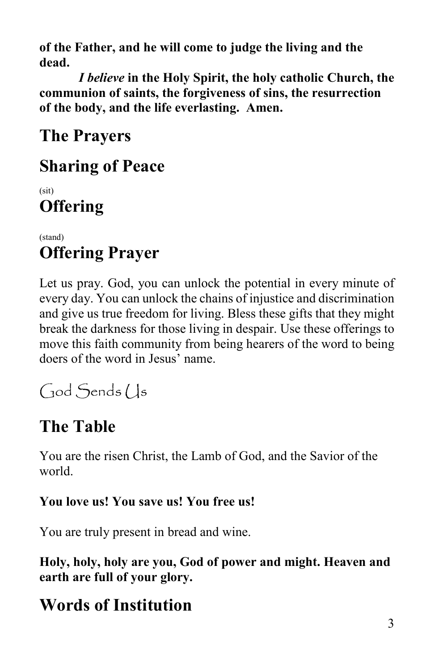**of the Father, and he will come to judge the living and the dead.**

*I believe* **in the Holy Spirit, the holy catholic Church, the communion of saints, the forgiveness of sins, the resurrection of the body, and the life everlasting. Amen.**

**The Prayers**

## **Sharing of Peace**

(sit) **Offering**

(stand) **Offering Prayer**

Let us pray. God, you can unlock the potential in every minute of every day. You can unlock the chains of injustice and discrimination and give us true freedom for living. Bless these gifts that they might break the darkness for those living in despair. Use these offerings to move this faith community from being hearers of the word to being doers of the word in Jesus' name.

God Sends (Js

# **The Table**

You are the risen Christ, the Lamb of God, and the Savior of the world.

### **You love us! You save us! You free us!**

You are truly present in bread and wine.

**Holy, holy, holy are you, God of power and might. Heaven and earth are full of your glory.**

# **Words of Institution**